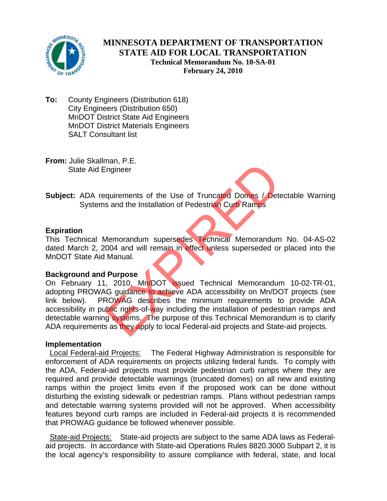

# **MINNESOTA DEPARTMENT OF TRANSPORTATION STATE AID FOR LOCAL TRANSPORTATION Technical Memorandum No. 10-SA-01 February 24, 2010**

**To:** County Engineers (Distribution 618) City Engineers (Distribution 650) MnDOT District State Aid Engineers MnDOT District Materials Engineers SALT Consultant list

**From:** Julie Skallman, P.E. State Aid Engineer

**Subject:** ADA requirements of the Use of Truncated Domes / Detectable Warning Systems and the Installation of Pedestrian Curb Ramps

## **Expiration**

This Technical Memorandum supersedes Technical Memorandum No. 04-AS-02 dated March 2, 2004 and will remain in effect unless superseded or placed into the MnDOT State Aid Manual.

## **Background and Purpose**

On February 11, 2010, Mn/DOT issued Technical Memorandum 10-02-TR-01, adopting PROWAG guidance to achieve ADA accessibility on Mn/DOT projects (see link below). PROWAG describes the minimum requirements to provide ADA accessibility in public rights-of-way including the installation of pedestrian ramps and detectable warning systems. The purpose of this Technical Memorandum is to clarify ADA requirements as they apply to local Federal-aid projects and State-aid projects. man, T. L.<br>
Indian, T. L.<br>
Indian of Pedestrian Curb Ramps<br>
Jets and the Installation of Pedestrian Curb Ramps<br>
Memorandum supersedes<br>
Technical Memorandum<br>
Manual.<br>
Purpose<br>
2010, Mn/DOT Issued Technical Memorandum<br>
G gui

#### **Implementation**

 Local Federal-aid Projects: The Federal Highway Administration is responsible for enforcement of ADA requirements on projects utilizing federal funds. To comply with the ADA, Federal-aid projects must provide pedestrian curb ramps where they are required and provide detectable warnings (truncated domes) on all new and existing ramps within the project limits even if the proposed work can be done without disturbing the existing sidewalk or pedestrian ramps. Plans without pedestrian ramps and detectable warning systems provided will not be approved. When accessibility features beyond curb ramps are included in Federal-aid projects it is recommended that PROWAG guidance be followed whenever possible.

State-aid Projects: State-aid projects are subject to the same ADA laws as Federalaid projects. In accordance with State-aid Operations Rules 8820.3000 Subpart 2, it is the local agency's responsibility to assure compliance with federal, state, and local